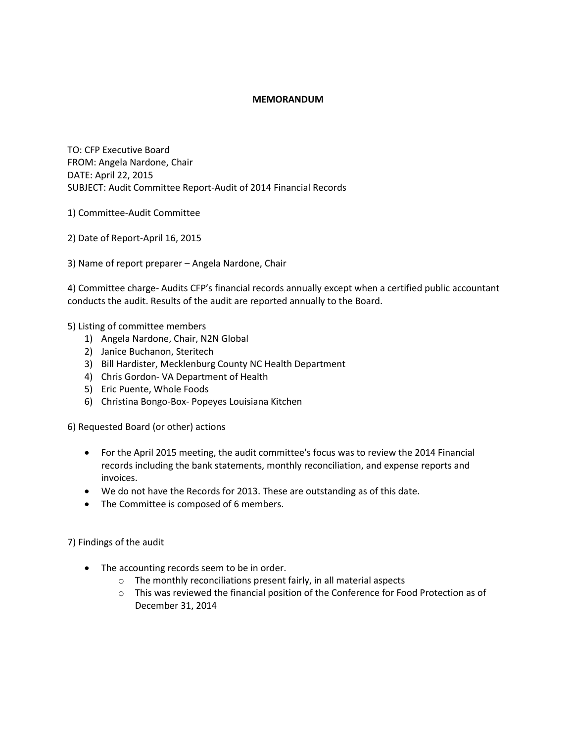## **MEMORANDUM**

TO: CFP Executive Board FROM: Angela Nardone, Chair DATE: April 22, 2015 SUBJECT: Audit Committee Report-Audit of 2014 Financial Records

- 1) Committee-Audit Committee
- 2) Date of Report-April 16, 2015
- 3) Name of report preparer Angela Nardone, Chair

4) Committee charge- Audits CFP's financial records annually except when a certified public accountant conducts the audit. Results of the audit are reported annually to the Board.

## 5) Listing of committee members

- 1) Angela Nardone, Chair, N2N Global
- 2) Janice Buchanon, Steritech
- 3) Bill Hardister, Mecklenburg County NC Health Department
- 4) Chris Gordon- VA Department of Health
- 5) Eric Puente, Whole Foods
- 6) Christina Bongo-Box- Popeyes Louisiana Kitchen

6) Requested Board (or other) actions

- For the April 2015 meeting, the audit committee's focus was to review the 2014 Financial records including the bank statements, monthly reconciliation, and expense reports and invoices.
- We do not have the Records for 2013. These are outstanding as of this date.
- The Committee is composed of 6 members.

7) Findings of the audit

- The accounting records seem to be in order.
	- o The monthly reconciliations present fairly, in all material aspects
	- $\circ$  This was reviewed the financial position of the Conference for Food Protection as of December 31, 2014